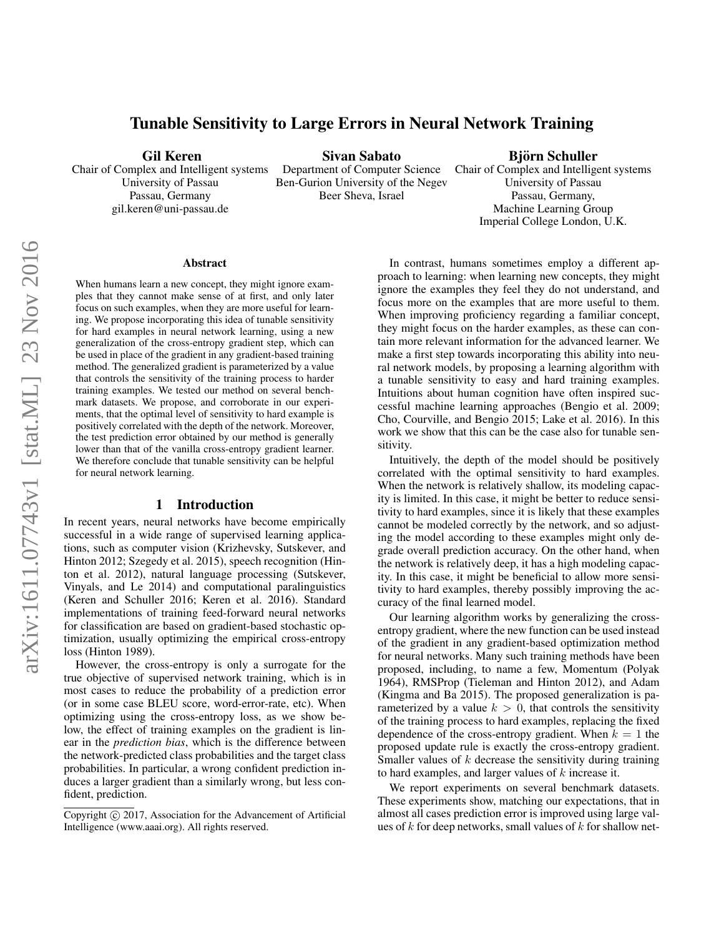# Tunable Sensitivity to Large Errors in Neural Network Training

Gil Keren

Chair of Complex and Intelligent systems University of Passau Passau, Germany gil.keren@uni-passau.de

Sivan Sabato

Beer Sheva, Israel

Department of Computer Science Ben-Gurion University of the Negev

### Björn Schuller

Chair of Complex and Intelligent systems University of Passau Passau, Germany, Machine Learning Group Imperial College London, U.K.

#### Abstract

When humans learn a new concept, they might ignore examples that they cannot make sense of at first, and only later focus on such examples, when they are more useful for learning. We propose incorporating this idea of tunable sensitivity for hard examples in neural network learning, using a new generalization of the cross-entropy gradient step, which can be used in place of the gradient in any gradient-based training method. The generalized gradient is parameterized by a value that controls the sensitivity of the training process to harder training examples. We tested our method on several benchmark datasets. We propose, and corroborate in our experiments, that the optimal level of sensitivity to hard example is positively correlated with the depth of the network. Moreover, the test prediction error obtained by our method is generally lower than that of the vanilla cross-entropy gradient learner. We therefore conclude that tunable sensitivity can be helpful for neural network learning.

### 1 Introduction

In recent years, neural networks have become empirically successful in a wide range of supervised learning applications, such as computer vision (Krizhevsky, Sutskever, and Hinton 2012; Szegedy et al. 2015), speech recognition (Hinton et al. 2012), natural language processing (Sutskever, Vinyals, and Le 2014) and computational paralinguistics (Keren and Schuller 2016; Keren et al. 2016). Standard implementations of training feed-forward neural networks for classification are based on gradient-based stochastic optimization, usually optimizing the empirical cross-entropy loss (Hinton 1989).

However, the cross-entropy is only a surrogate for the true objective of supervised network training, which is in most cases to reduce the probability of a prediction error (or in some case BLEU score, word-error-rate, etc). When optimizing using the cross-entropy loss, as we show below, the effect of training examples on the gradient is linear in the *prediction bias*, which is the difference between the network-predicted class probabilities and the target class probabilities. In particular, a wrong confident prediction induces a larger gradient than a similarly wrong, but less confident, prediction.

In contrast, humans sometimes employ a different approach to learning: when learning new concepts, they might ignore the examples they feel they do not understand, and focus more on the examples that are more useful to them. When improving proficiency regarding a familiar concept, they might focus on the harder examples, as these can contain more relevant information for the advanced learner. We make a first step towards incorporating this ability into neural network models, by proposing a learning algorithm with a tunable sensitivity to easy and hard training examples. Intuitions about human cognition have often inspired successful machine learning approaches (Bengio et al. 2009; Cho, Courville, and Bengio 2015; Lake et al. 2016). In this work we show that this can be the case also for tunable sensitivity.

Intuitively, the depth of the model should be positively correlated with the optimal sensitivity to hard examples. When the network is relatively shallow, its modeling capacity is limited. In this case, it might be better to reduce sensitivity to hard examples, since it is likely that these examples cannot be modeled correctly by the network, and so adjusting the model according to these examples might only degrade overall prediction accuracy. On the other hand, when the network is relatively deep, it has a high modeling capacity. In this case, it might be beneficial to allow more sensitivity to hard examples, thereby possibly improving the accuracy of the final learned model.

Our learning algorithm works by generalizing the crossentropy gradient, where the new function can be used instead of the gradient in any gradient-based optimization method for neural networks. Many such training methods have been proposed, including, to name a few, Momentum (Polyak 1964), RMSProp (Tieleman and Hinton 2012), and Adam (Kingma and Ba 2015). The proposed generalization is parameterized by a value  $k > 0$ , that controls the sensitivity of the training process to hard examples, replacing the fixed dependence of the cross-entropy gradient. When  $k = 1$  the proposed update rule is exactly the cross-entropy gradient. Smaller values of  $k$  decrease the sensitivity during training to hard examples, and larger values of  $k$  increase it.

We report experiments on several benchmark datasets. These experiments show, matching our expectations, that in almost all cases prediction error is improved using large values of  $k$  for deep networks, small values of  $k$  for shallow net-

Copyright (c) 2017, Association for the Advancement of Artificial Intelligence (www.aaai.org). All rights reserved.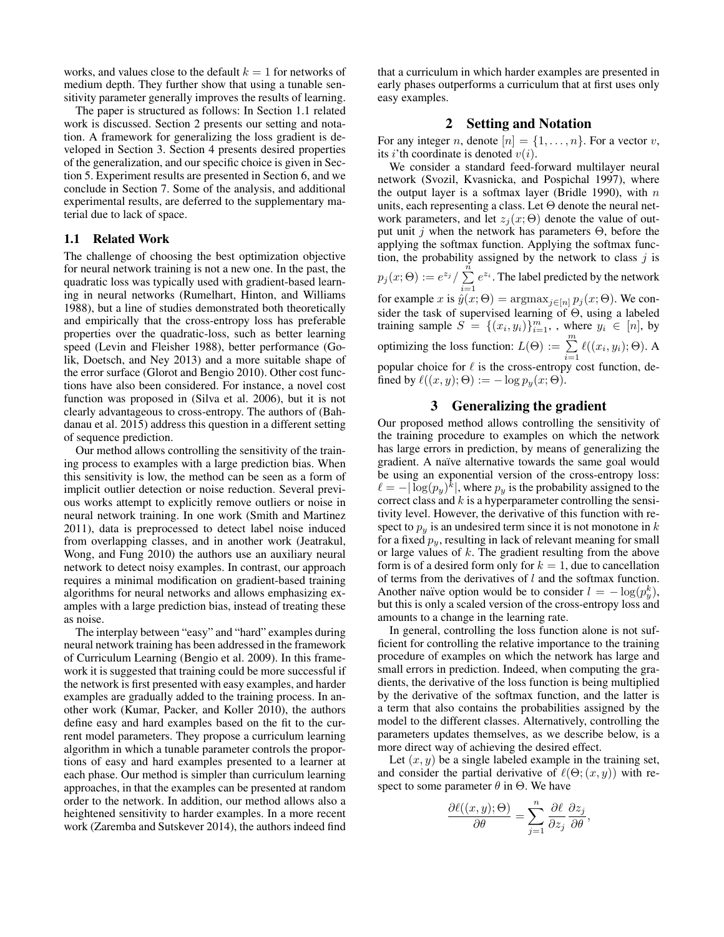works, and values close to the default  $k = 1$  for networks of medium depth. They further show that using a tunable sensitivity parameter generally improves the results of learning.

The paper is structured as follows: In Section 1.1 related work is discussed. Section 2 presents our setting and notation. A framework for generalizing the loss gradient is developed in Section 3. Section 4 presents desired properties of the generalization, and our specific choice is given in Section 5. Experiment results are presented in Section 6, and we conclude in Section 7. Some of the analysis, and additional experimental results, are deferred to the supplementary material due to lack of space.

#### 1.1 Related Work

The challenge of choosing the best optimization objective for neural network training is not a new one. In the past, the quadratic loss was typically used with gradient-based learning in neural networks (Rumelhart, Hinton, and Williams 1988), but a line of studies demonstrated both theoretically and empirically that the cross-entropy loss has preferable properties over the quadratic-loss, such as better learning speed (Levin and Fleisher 1988), better performance (Golik, Doetsch, and Ney 2013) and a more suitable shape of the error surface (Glorot and Bengio 2010). Other cost functions have also been considered. For instance, a novel cost function was proposed in (Silva et al. 2006), but it is not clearly advantageous to cross-entropy. The authors of (Bahdanau et al. 2015) address this question in a different setting of sequence prediction.

Our method allows controlling the sensitivity of the training process to examples with a large prediction bias. When this sensitivity is low, the method can be seen as a form of implicit outlier detection or noise reduction. Several previous works attempt to explicitly remove outliers or noise in neural network training. In one work (Smith and Martinez 2011), data is preprocessed to detect label noise induced from overlapping classes, and in another work (Jeatrakul, Wong, and Fung 2010) the authors use an auxiliary neural network to detect noisy examples. In contrast, our approach requires a minimal modification on gradient-based training algorithms for neural networks and allows emphasizing examples with a large prediction bias, instead of treating these as noise.

The interplay between "easy" and "hard" examples during neural network training has been addressed in the framework of Curriculum Learning (Bengio et al. 2009). In this framework it is suggested that training could be more successful if the network is first presented with easy examples, and harder examples are gradually added to the training process. In another work (Kumar, Packer, and Koller 2010), the authors define easy and hard examples based on the fit to the current model parameters. They propose a curriculum learning algorithm in which a tunable parameter controls the proportions of easy and hard examples presented to a learner at each phase. Our method is simpler than curriculum learning approaches, in that the examples can be presented at random order to the network. In addition, our method allows also a heightened sensitivity to harder examples. In a more recent work (Zaremba and Sutskever 2014), the authors indeed find

that a curriculum in which harder examples are presented in early phases outperforms a curriculum that at first uses only easy examples.

### 2 Setting and Notation

For any integer n, denote  $[n] = \{1, \ldots, n\}$ . For a vector v, its *i*'th coordinate is denoted  $v(i)$ .

We consider a standard feed-forward multilayer neural network (Svozil, Kvasnicka, and Pospichal 1997), where the output layer is a softmax layer (Bridle 1990), with  $n$ units, each representing a class. Let  $\Theta$  denote the neural network parameters, and let  $z_i(x; \Theta)$  denote the value of output unit j when the network has parameters  $\Theta$ , before the applying the softmax function. Applying the softmax function, the probability assigned by the network to class  $j$  is  $p_j (x; \Theta) := e^{z_j} / \sum_{i=1}^n$  $i=1$  $e^{z_i}$ . The label predicted by the network for example x is  $\hat{y}(x;\Theta) = \operatorname{argmax}_{j \in [n]} p_j(x;\Theta)$ . We consider the task of supervised learning of Θ, using a labeled training sample  $S = \{(x_i, y_i)\}_{i=1}^m$ , where  $y_i \in [n]$ , by optimizing the loss function:  $L(\Theta) := \sum_{i=1}^{m} \ell((x_i, y_i); \Theta)$ . A popular choice for  $\ell$  is the cross-entropy cost function, defined by  $\ell((x, y); \Theta) := -\log p_y(x; \Theta).$ 

### 3 Generalizing the gradient

Our proposed method allows controlling the sensitivity of the training procedure to examples on which the network has large errors in prediction, by means of generalizing the gradient. A naïve alternative towards the same goal would be using an exponential version of the cross-entropy loss:  $\ell = -|\log(p_y)^k|$ , where  $p_y$  is the probability assigned to the correct class and  $k$  is a hyperparameter controlling the sensitivity level. However, the derivative of this function with respect to  $p_y$  is an undesired term since it is not monotone in k for a fixed  $p_y$ , resulting in lack of relevant meaning for small or large values of  $k$ . The gradient resulting from the above form is of a desired form only for  $k = 1$ , due to cancellation of terms from the derivatives of l and the softmax function. Another naïve option would be to consider  $l = -\log(p_y^k)$ , but this is only a scaled version of the cross-entropy loss and amounts to a change in the learning rate.

In general, controlling the loss function alone is not sufficient for controlling the relative importance to the training procedure of examples on which the network has large and small errors in prediction. Indeed, when computing the gradients, the derivative of the loss function is being multiplied by the derivative of the softmax function, and the latter is a term that also contains the probabilities assigned by the model to the different classes. Alternatively, controlling the parameters updates themselves, as we describe below, is a more direct way of achieving the desired effect.

Let  $(x, y)$  be a single labeled example in the training set, and consider the partial derivative of  $\ell(\Theta; (x, y))$  with respect to some parameter  $\theta$  in  $\Theta$ . We have

$$
\frac{\partial \ell((x,y);\Theta)}{\partial \theta} = \sum_{j=1}^{n} \frac{\partial \ell}{\partial z_j} \frac{\partial z_j}{\partial \theta},
$$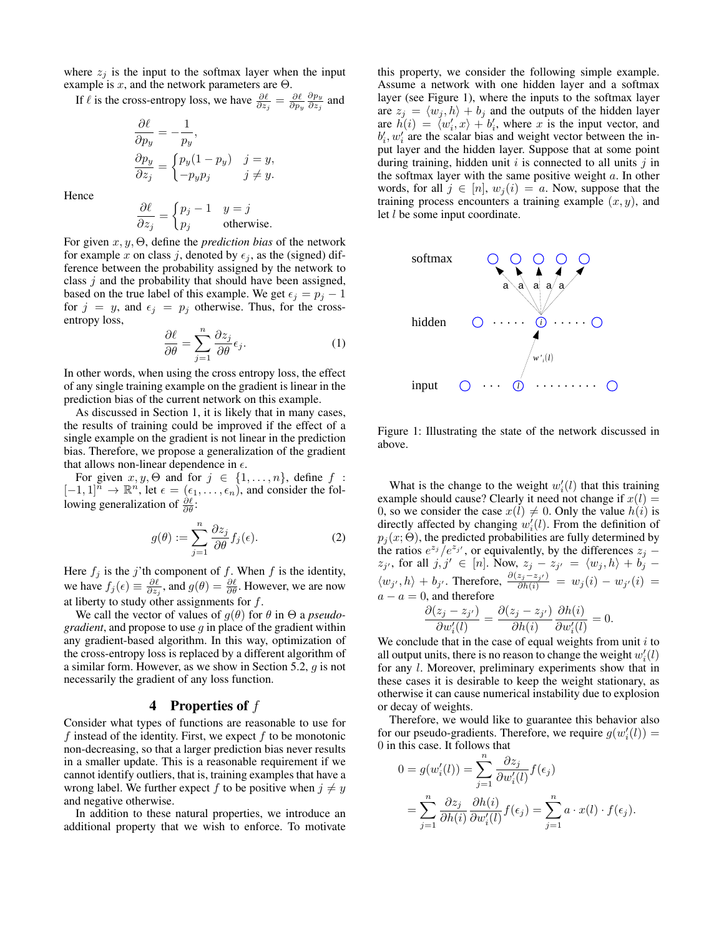where  $z_i$  is the input to the softmax layer when the input example is  $x$ , and the network parameters are  $\Theta$ .

If  $\ell$  is the cross-entropy loss, we have  $\frac{\partial \ell}{\partial z_j} = \frac{\partial \ell}{\partial p_y}$  $\partial p_y$  $\frac{\partial p_y}{\partial z_j}$  and

$$
\begin{aligned}\n\frac{\partial \ell}{\partial p_y} &= -\frac{1}{p_y}, \\
\frac{\partial p_y}{\partial z_j} &= \begin{cases}\np_y(1 - p_y) & j = y, \\
-p_y p_j & j \neq y.\n\end{cases}\n\end{aligned}
$$

Hence

$$
\frac{\partial \ell}{\partial z_j} = \begin{cases} p_j - 1 & y = j \\ p_j & \text{otherwise.} \end{cases}
$$

For given x, y, Θ, define the *prediction bias* of the network for example x on class j, denoted by  $\epsilon_i$ , as the (signed) difference between the probability assigned by the network to class  $j$  and the probability that should have been assigned, based on the true label of this example. We get  $\epsilon_j = p_j - 1$ for  $j = y$ , and  $\epsilon_j = p_j$  otherwise. Thus, for the crossentropy loss,

$$
\frac{\partial \ell}{\partial \theta} = \sum_{j=1}^{n} \frac{\partial z_j}{\partial \theta} \epsilon_j.
$$
 (1)

In other words, when using the cross entropy loss, the effect of any single training example on the gradient is linear in the prediction bias of the current network on this example.

As discussed in Section 1, it is likely that in many cases, the results of training could be improved if the effect of a single example on the gradient is not linear in the prediction bias. Therefore, we propose a generalization of the gradient that allows non-linear dependence in  $\epsilon$ .

For given  $x, y, \Theta$  and for  $j \in \{1, \ldots, n\}$ , define  $f :$  $[-1, 1]^n \to \mathbb{R}^n$ , let  $\epsilon = (\epsilon_1, \ldots, \epsilon_n)$ , and consider the following generalization of  $\frac{\partial \ell}{\partial \theta}$ :

$$
g(\theta) := \sum_{j=1}^{n} \frac{\partial z_j}{\partial \theta} f_j(\epsilon).
$$
 (2)

Here  $f_j$  is the j'th component of f. When f is the identity, we have  $f_j(\epsilon) \equiv \frac{\partial \ell}{\partial z_j}$ , and  $g(\theta) = \frac{\partial \ell}{\partial \theta}$ . However, we are now at liberty to study other assignments for  $f$ .

We call the vector of values of  $q(\theta)$  for  $\theta$  in  $\Theta$  a *pseudogradient*, and propose to use g in place of the gradient within any gradient-based algorithm. In this way, optimization of the cross-entropy loss is replaced by a different algorithm of a similar form. However, as we show in Section 5.2, g is not necessarily the gradient of any loss function.

## 4 Properties of  $f$

Consider what types of functions are reasonable to use for f instead of the identity. First, we expect  $f$  to be monotonic non-decreasing, so that a larger prediction bias never results in a smaller update. This is a reasonable requirement if we cannot identify outliers, that is, training examples that have a wrong label. We further expect f to be positive when  $j \neq y$ and negative otherwise.

In addition to these natural properties, we introduce an additional property that we wish to enforce. To motivate this property, we consider the following simple example. Assume a network with one hidden layer and a softmax layer (see Figure 1), where the inputs to the softmax layer are  $z_j = \langle w_j , h \rangle + b_j$  and the outputs of the hidden layer are  $h(i) = \langle w'_i, x \rangle + b'_i$ , where x is the input vector, and  $b'_i, w'_i$  are the scalar bias and weight vector between the input layer and the hidden layer. Suppose that at some point during training, hidden unit  $i$  is connected to all units  $j$  in the softmax layer with the same positive weight  $a$ . In other words, for all  $j \in [n]$ ,  $w_j(i) = a$ . Now, suppose that the training process encounters a training example  $(x, y)$ , and let  $l$  be some input coordinate.



Figure 1: Illustrating the state of the network discussed in above.

What is the change to the weight  $w_i'(l)$  that this training example should cause? Clearly it need not change if  $x(l)$  = 0, so we consider the case  $x(l) \neq 0$ . Only the value  $h(i)$  is directly affected by changing  $w_i'(l)$ . From the definition of  $p_j(x; \Theta)$ , the predicted probabilities are fully determined by the ratios  $e^{z_j}/e^{z_{j'}}$ , or equivalently, by the differences  $z_j$  –  $z_{j'}$ , for all  $j, j' \in [n]$ . Now,  $z_j - z_{j'} = \langle w_j, h \rangle + b_j$ .  $\langle w_{j'}, h \rangle + b_{j'}$ . Therefore,  $\frac{\partial (z_j - z_{j'})}{\partial h(i)} = w_j(i) - w_{j'}(i)$  $a - a = 0$ , and therefore

$$
\frac{\partial(z_j - z_{j'})}{\partial w'_i(l)} = \frac{\partial(z_j - z_{j'})}{\partial h(i)} \frac{\partial h(i)}{\partial w'_i(l)} = 0.
$$

We conclude that in the case of equal weights from unit  $i$  to all output units, there is no reason to change the weight  $w_i'(l)$ for any l. Moreover, preliminary experiments show that in these cases it is desirable to keep the weight stationary, as otherwise it can cause numerical instability due to explosion or decay of weights.

Therefore, we would like to guarantee this behavior also for our pseudo-gradients. Therefore, we require  $g(w_i'(l)) =$ 0 in this case. It follows that

$$
0 = g(w_i'(l)) = \sum_{j=1}^n \frac{\partial z_j}{\partial w_i'(l)} f(\epsilon_j)
$$
  
= 
$$
\sum_{j=1}^n \frac{\partial z_j}{\partial h(i)} \frac{\partial h(i)}{\partial w_i'(l)} f(\epsilon_j) = \sum_{j=1}^n a \cdot x(l) \cdot f(\epsilon_j).
$$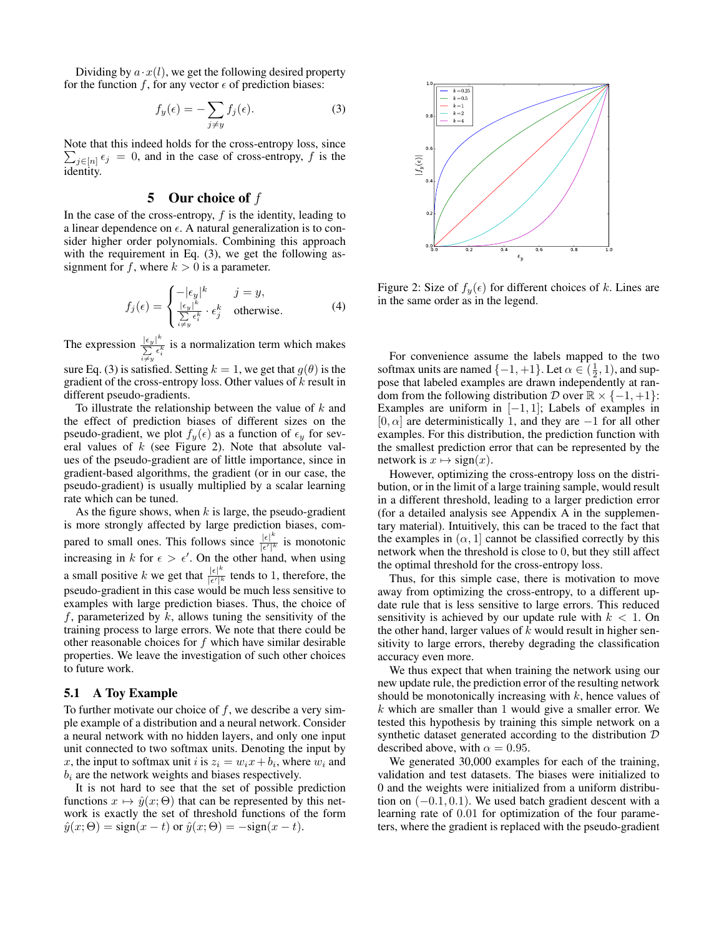Dividing by  $a \cdot x(l)$ , we get the following desired property for the function f, for any vector  $\epsilon$  of prediction biases:

$$
f_y(\epsilon) = -\sum_{j \neq y} f_j(\epsilon). \tag{3}
$$

Note that this indeed holds for the cross-entropy loss, since  $\sum_{j \in [n]} \epsilon_j = 0$ , and in the case of cross-entropy, f is the identity.

## 5 Our choice of  $f$

In the case of the cross-entropy,  $f$  is the identity, leading to a linear dependence on  $\epsilon$ . A natural generalization is to consider higher order polynomials. Combining this approach with the requirement in Eq. (3), we get the following assignment for f, where  $k > 0$  is a parameter.

$$
f_j(\epsilon) = \begin{cases} -|\epsilon_y|^k & j = y, \\ \frac{|\epsilon_y|^k}{\sum_{i \neq y} \epsilon_i^k} \cdot \epsilon_j^k & \text{otherwise.} \end{cases}
$$
 (4)

The expression  $\frac{|\epsilon_y|^k}{\sum c^k}$  $\sum_{i \neq y}^{\lfloor \frac{e_y}{c} \rfloor} i$  is a normalization term which makes

sure Eq. (3) is satisfied. Setting  $k = 1$ , we get that  $g(\theta)$  is the gradient of the cross-entropy loss. Other values of  $k$  result in different pseudo-gradients.

To illustrate the relationship between the value of  $k$  and the effect of prediction biases of different sizes on the pseudo-gradient, we plot  $f_y(\epsilon)$  as a function of  $\epsilon_y$  for several values of  $k$  (see Figure 2). Note that absolute values of the pseudo-gradient are of little importance, since in gradient-based algorithms, the gradient (or in our case, the pseudo-gradient) is usually multiplied by a scalar learning rate which can be tuned.

As the figure shows, when  $k$  is large, the pseudo-gradient is more strongly affected by large prediction biases, compared to small ones. This follows since  $\frac{|\epsilon|^k}{|\epsilon'|^k}$  $\frac{|\epsilon|}{|\epsilon'|^k}$  is monotonic increasing in k for  $\epsilon > \epsilon'$ . On the other hand, when using a small positive k we get that  $\frac{|e|^k}{|e^t|^k}$  $\frac{|\epsilon|}{|\epsilon'|^k}$  tends to 1, therefore, the pseudo-gradient in this case would be much less sensitive to examples with large prediction biases. Thus, the choice of  $f$ , parameterized by  $k$ , allows tuning the sensitivity of the training process to large errors. We note that there could be other reasonable choices for  $f$  which have similar desirable properties. We leave the investigation of such other choices to future work.

### 5.1 A Toy Example

To further motivate our choice of  $f$ , we describe a very simple example of a distribution and a neural network. Consider a neural network with no hidden layers, and only one input unit connected to two softmax units. Denoting the input by x, the input to softmax unit i is  $z_i = w_i x + b_i$ , where  $w_i$  and  $b_i$  are the network weights and biases respectively.

It is not hard to see that the set of possible prediction functions  $x \mapsto \hat{y}(x; \Theta)$  that can be represented by this network is exactly the set of threshold functions of the form  $\hat{y}(x;\Theta) = \text{sign}(x-t)$  or  $\hat{y}(x;\Theta) = -\text{sign}(x-t)$ .



Figure 2: Size of  $f_y(\epsilon)$  for different choices of k. Lines are in the same order as in the legend.

For convenience assume the labels mapped to the two softmax units are named  $\{-1, +1\}$ . Let  $\alpha \in (\frac{1}{2}, 1)$ , and suppose that labeled examples are drawn independently at random from the following distribution  $D$  over  $\mathbb{R} \times \{-1, +1\}$ : Examples are uniform in  $[-1, 1]$ ; Labels of examples in  $[0, \alpha]$  are deterministically 1, and they are  $-1$  for all other examples. For this distribution, the prediction function with the smallest prediction error that can be represented by the network is  $x \mapsto sign(x)$ .

However, optimizing the cross-entropy loss on the distribution, or in the limit of a large training sample, would result in a different threshold, leading to a larger prediction error (for a detailed analysis see Appendix A in the supplementary material). Intuitively, this can be traced to the fact that the examples in  $(\alpha, 1]$  cannot be classified correctly by this network when the threshold is close to 0, but they still affect the optimal threshold for the cross-entropy loss.

Thus, for this simple case, there is motivation to move away from optimizing the cross-entropy, to a different update rule that is less sensitive to large errors. This reduced sensitivity is achieved by our update rule with  $k < 1$ . On the other hand, larger values of  $k$  would result in higher sensitivity to large errors, thereby degrading the classification accuracy even more.

We thus expect that when training the network using our new update rule, the prediction error of the resulting network should be monotonically increasing with  $k$ , hence values of  $k$  which are smaller than 1 would give a smaller error. We tested this hypothesis by training this simple network on a synthetic dataset generated according to the distribution D described above, with  $\alpha = 0.95$ .

We generated 30,000 examples for each of the training, validation and test datasets. The biases were initialized to 0 and the weights were initialized from a uniform distribution on  $(-0.1, 0.1)$ . We used batch gradient descent with a learning rate of 0.01 for optimization of the four parameters, where the gradient is replaced with the pseudo-gradient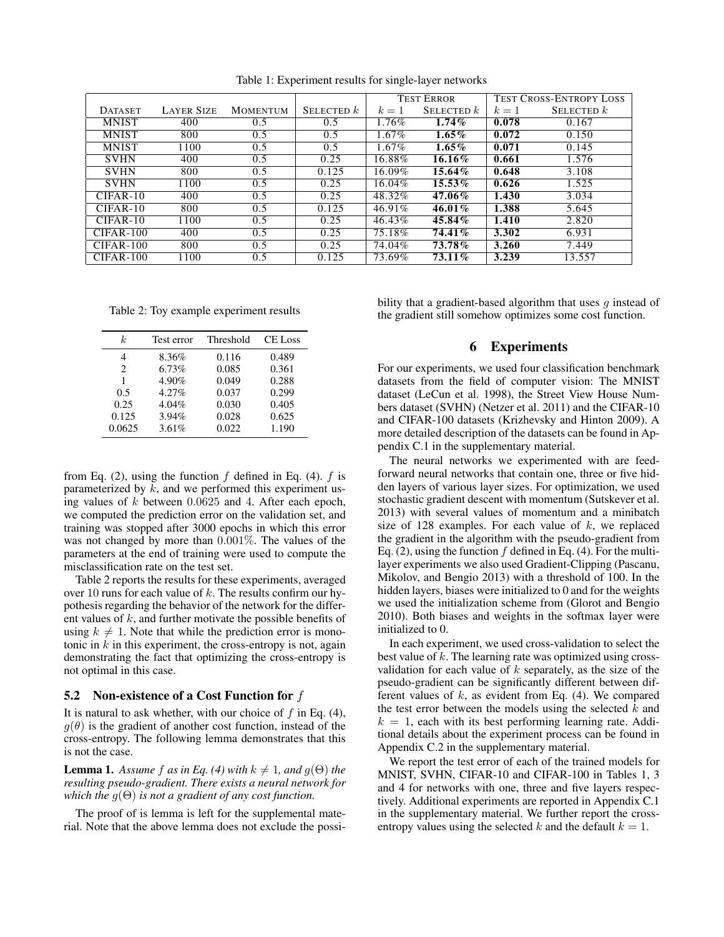|                |                   |                 |              | <b>TEST ERROR</b> |              |       | <b>TEST CROSS-ENTROPY LOSS</b> |
|----------------|-------------------|-----------------|--------------|-------------------|--------------|-------|--------------------------------|
| <b>DATASET</b> | <b>LAYER SIZE</b> | <b>MOMENTUM</b> | SELECTED $k$ | $k=1$             | SELECTED $k$ | $k=1$ | SELECTED $k$                   |
| <b>MNIST</b>   | 400               | 0.5             | 0.5          | 1.76%             | $1.74\%$     | 0.078 | 0.167                          |
| <b>MNIST</b>   | 800               | 0.5             | 0.5          | $1.67\%$          | $1.65\%$     | 0.072 | 0.150                          |
| <b>MNIST</b>   | 1100              | 0.5             | 0.5          | 1.67%             | $1.65\%$     | 0.071 | 0.145                          |
| <b>SVHN</b>    | 400               | 0.5             | 0.25         | $16.88\%$         | $16.16\%$    | 0.661 | 1.576                          |
| <b>SVHN</b>    | 800               | 0.5             | 0.125        | 16.09%            | 15.64%       | 0.648 | 3.108                          |
| <b>SVHN</b>    | 1100              | 0.5             | 0.25         | 16.04%            | $15.53\%$    | 0.626 | 1.525                          |
| $CIFAR-10$     | 400               | 0.5             | 0.25         | 48.32%            | 47.06%       | 1.430 | 3.034                          |
| $CIFAR-10$     | 800               | 0.5             | 0.125        | $46.91\%$         | $46.01\%$    | 1.388 | 5.645                          |
| $CIFAR-10$     | 1100              | $0.5^{\circ}$   | 0.25         | 46.43%            | 45.84%       | 1.410 | 2.820                          |
| $CIFAR-100$    | 400               | 0.5             | 0.25         | 75.18%            | 74.41%       | 3.302 | 6.931                          |
| $CIFAR-100$    | 800               | 0.5             | 0.25         | 74.04%            | 73.78%       | 3.260 | 7.449                          |
| $CIFAR-100$    | 1100              | 0.5             | 0.125        | 73.69%            | 73.11%       | 3.239 | 13.557                         |

Table 1: Experiment results for single-layer networks

Table 2: Toy example experiment results

| k.             | Test error | Threshold | <b>CE</b> Loss |
|----------------|------------|-----------|----------------|
| 4              | 8.36%      | 0.116     | 0.489          |
| $\overline{c}$ | 6.73%      | 0.085     | 0.361          |
| 1              | 4.90%      | 0.049     | 0.288          |
| 0.5            | 4.27%      | 0.037     | 0.299          |
| 0.25           | 4.04%      | 0.030     | 0.405          |
| 0.125          | 3.94%      | 0.028     | 0.625          |
| 0.0625         | 3.61%      | 0.022     | 1.190          |

from Eq. (2), using the function  $f$  defined in Eq. (4).  $f$  is parameterized by  $k$ , and we performed this experiment using values of k between 0.0625 and 4. After each epoch, we computed the prediction error on the validation set, and training was stopped after 3000 epochs in which this error was not changed by more than 0.001%. The values of the parameters at the end of training were used to compute the misclassification rate on the test set.

Table 2 reports the results for these experiments, averaged over 10 runs for each value of  $k$ . The results confirm our hypothesis regarding the behavior of the network for the different values of k, and further motivate the possible benefits of using  $k \neq 1$ . Note that while the prediction error is monotonic in  $k$  in this experiment, the cross-entropy is not, again demonstrating the fact that optimizing the cross-entropy is not optimal in this case.

### 5.2 Non-existence of a Cost Function for  $f$

It is natural to ask whether, with our choice of  $f$  in Eq. (4),  $g(\theta)$  is the gradient of another cost function, instead of the cross-entropy. The following lemma demonstrates that this is not the case.

**Lemma 1.** Assume f as in Eq. (4) with  $k \neq 1$ , and  $g(\Theta)$  the *resulting pseudo-gradient. There exists a neural network for which the* g(Θ) *is not a gradient of any cost function.*

The proof of is lemma is left for the supplemental material. Note that the above lemma does not exclude the possibility that a gradient-based algorithm that uses  $q$  instead of the gradient still somehow optimizes some cost function.

### 6 Experiments

For our experiments, we used four classification benchmark datasets from the field of computer vision: The MNIST dataset (LeCun et al. 1998), the Street View House Numbers dataset (SVHN) (Netzer et al. 2011) and the CIFAR-10 and CIFAR-100 datasets (Krizhevsky and Hinton 2009). A more detailed description of the datasets can be found in Appendix C.1 in the supplementary material.

The neural networks we experimented with are feedforward neural networks that contain one, three or five hidden layers of various layer sizes. For optimization, we used stochastic gradient descent with momentum (Sutskever et al. 2013) with several values of momentum and a minibatch size of 128 examples. For each value of  $k$ , we replaced the gradient in the algorithm with the pseudo-gradient from Eq. (2), using the function  $f$  defined in Eq. (4). For the multilayer experiments we also used Gradient-Clipping (Pascanu, Mikolov, and Bengio 2013) with a threshold of 100. In the hidden layers, biases were initialized to 0 and for the weights we used the initialization scheme from (Glorot and Bengio 2010). Both biases and weights in the softmax layer were initialized to 0.

In each experiment, we used cross-validation to select the best value of  $k$ . The learning rate was optimized using crossvalidation for each value of  $k$  separately, as the size of the pseudo-gradient can be significantly different between different values of  $k$ , as evident from Eq. (4). We compared the test error between the models using the selected  $k$  and  $k = 1$ , each with its best performing learning rate. Additional details about the experiment process can be found in Appendix C.2 in the supplementary material.

We report the test error of each of the trained models for MNIST, SVHN, CIFAR-10 and CIFAR-100 in Tables 1, 3 and 4 for networks with one, three and five layers respectively. Additional experiments are reported in Appendix C.1 in the supplementary material. We further report the crossentropy values using the selected k and the default  $k = 1$ .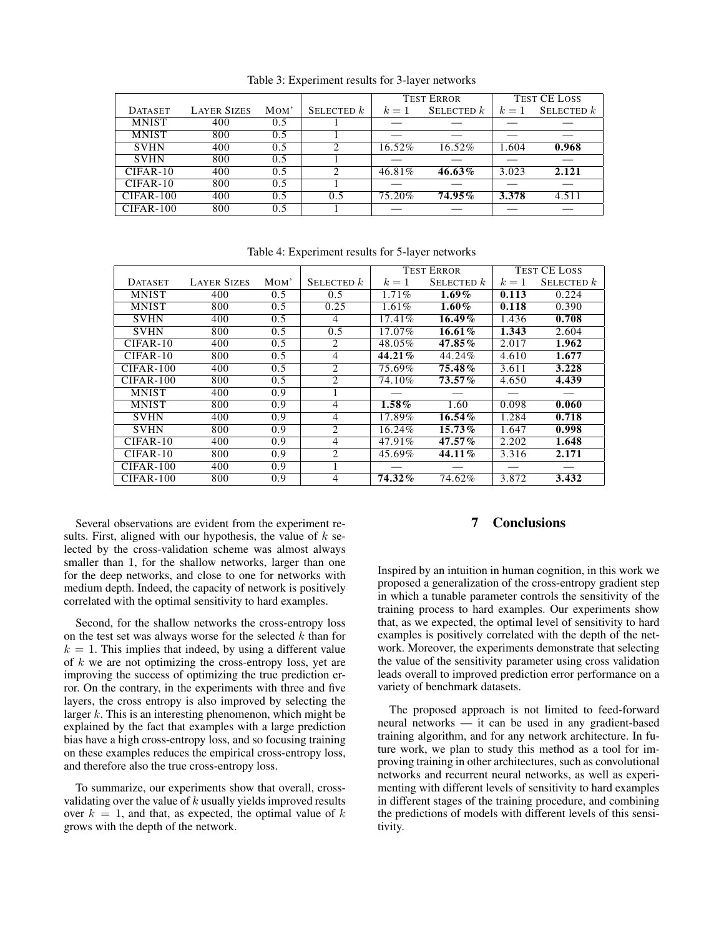|                |                    |      |              | <b>TEST ERROR</b> |              | <b>TEST CE LOSS</b> |              |
|----------------|--------------------|------|--------------|-------------------|--------------|---------------------|--------------|
| <b>DATASET</b> | <b>LAYER SIZES</b> | MOM' | SELECTED $k$ | $k=1$             | SELECTED $k$ | $k=1$               | SELECTED $k$ |
| <b>MNIST</b>   | 400                | 0.5  |              |                   |              |                     |              |
| <b>MNIST</b>   | 800                | 0.5  |              |                   |              |                     |              |
| <b>SVHN</b>    | 400                | 0.5  |              | 16.52%            | 16.52%       | 1.604               | 0.968        |
| <b>SVHN</b>    | 800                | 0.5  |              |                   |              |                     |              |
| $CIFAR-10$     | 400                | 0.5  | ∍            | 46.81%            | 46.63%       | 3.023               | 2.121        |
| $CIFAR-10$     | 800                | 0.5  |              |                   |              |                     |              |
| $CIFAR-100$    | 400                | 0.5  | 0.5          | 75.20%            | $74.95\%$    | 3.378               | 4.511        |
| $CIFAR-100$    | 800                | 0.5  |              |                   |              |                     |              |

Table 3: Experiment results for 3-layer networks

|                |                    |                               |                             | <b>TEST ERROR</b> |              |       | <b>TEST CE LOSS</b> |
|----------------|--------------------|-------------------------------|-----------------------------|-------------------|--------------|-------|---------------------|
| <b>DATASET</b> | <b>LAYER SIZES</b> | M <sub>o</sub> M <sup>'</sup> | SELECTED $k$                | $k=1$             | SELECTED $k$ | $k=1$ | SELECTED $k$        |
| <b>MNIST</b>   | 400                | 0.5                           | $0.5^{\circ}$               | 1.71%             | $1.69\%$     | 0.113 | 0.224               |
| <b>MNIST</b>   | 800                | 0.5                           | 0.25                        | 1.61%             | $1.60\%$     | 0.118 | 0.390               |
| <b>SVHN</b>    | 400                | 0.5                           | 4                           | 17.41%            | $16.49\%$    | 1.436 | 0.708               |
| <b>SVHN</b>    | 800                | 0.5                           | 0.5                         | 17.07%            | $16.61\%$    | 1.343 | 2.604               |
| $CIFAR-10$     | 400                | 0.5                           | 2                           | 48.05%            | 47.85%       | 2.017 | 1.962               |
| $CIFAR-10$     | 800                | 0.5                           | 4                           | 44.21%            | 44.24%       | 4.610 | 1.677               |
| $CIFAR-100$    | 400                | 0.5                           | $\mathcal{D}_{\mathcal{L}}$ | 75.69%            | 75.48%       | 3.611 | 3.228               |
| $CIFAR-100$    | 800                | 0.5                           | 2                           | 74.10%            | $73.57\%$    | 4.650 | 4.439               |
| <b>MNIST</b>   | 400                | $\overline{0.9}$              |                             |                   |              |       |                     |
| <b>MNIST</b>   | 800                | 0.9                           | 4                           | $1.58\%$          | 1.60         | 0.098 | 0.060               |
| <b>SVHN</b>    | 400                | 0.9                           | 4                           | 17.89%            | 16.54%       | 1.284 | 0.718               |
| <b>SVHN</b>    | 800                | 0.9                           | 2                           | 16.24%            | $15.73\%$    | 1.647 | 0.998               |
| $CIFAR-10$     | 400                | 0.9                           | 4                           | 47.91%            | $47.57\%$    | 2.202 | 1.648               |
| $CIFAR-10$     | 800                | 0.9                           | $\overline{c}$              | 45.69%            | 44.11%       | 3.316 | 2.171               |
| $CIFAR-100$    | 400                | 0.9                           |                             |                   |              |       |                     |
| $CIFAR-100$    | 800                | 0.9                           | 4                           | 74.32%            | 74.62%       | 3.872 | 3.432               |

Table 4: Experiment results for 5-layer networks

Several observations are evident from the experiment results. First, aligned with our hypothesis, the value of  $k$  selected by the cross-validation scheme was almost always smaller than 1, for the shallow networks, larger than one for the deep networks, and close to one for networks with medium depth. Indeed, the capacity of network is positively correlated with the optimal sensitivity to hard examples.

Second, for the shallow networks the cross-entropy loss on the test set was always worse for the selected  $k$  than for  $k = 1$ . This implies that indeed, by using a different value of  $k$  we are not optimizing the cross-entropy loss, yet are improving the success of optimizing the true prediction error. On the contrary, in the experiments with three and five layers, the cross entropy is also improved by selecting the larger  $k$ . This is an interesting phenomenon, which might be explained by the fact that examples with a large prediction bias have a high cross-entropy loss, and so focusing training on these examples reduces the empirical cross-entropy loss, and therefore also the true cross-entropy loss.

To summarize, our experiments show that overall, crossvalidating over the value of  $k$  usually yields improved results over  $k = 1$ , and that, as expected, the optimal value of k grows with the depth of the network.

## 7 Conclusions

Inspired by an intuition in human cognition, in this work we proposed a generalization of the cross-entropy gradient step in which a tunable parameter controls the sensitivity of the training process to hard examples. Our experiments show that, as we expected, the optimal level of sensitivity to hard examples is positively correlated with the depth of the network. Moreover, the experiments demonstrate that selecting the value of the sensitivity parameter using cross validation leads overall to improved prediction error performance on a variety of benchmark datasets.

The proposed approach is not limited to feed-forward neural networks — it can be used in any gradient-based training algorithm, and for any network architecture. In future work, we plan to study this method as a tool for improving training in other architectures, such as convolutional networks and recurrent neural networks, as well as experimenting with different levels of sensitivity to hard examples in different stages of the training procedure, and combining the predictions of models with different levels of this sensitivity.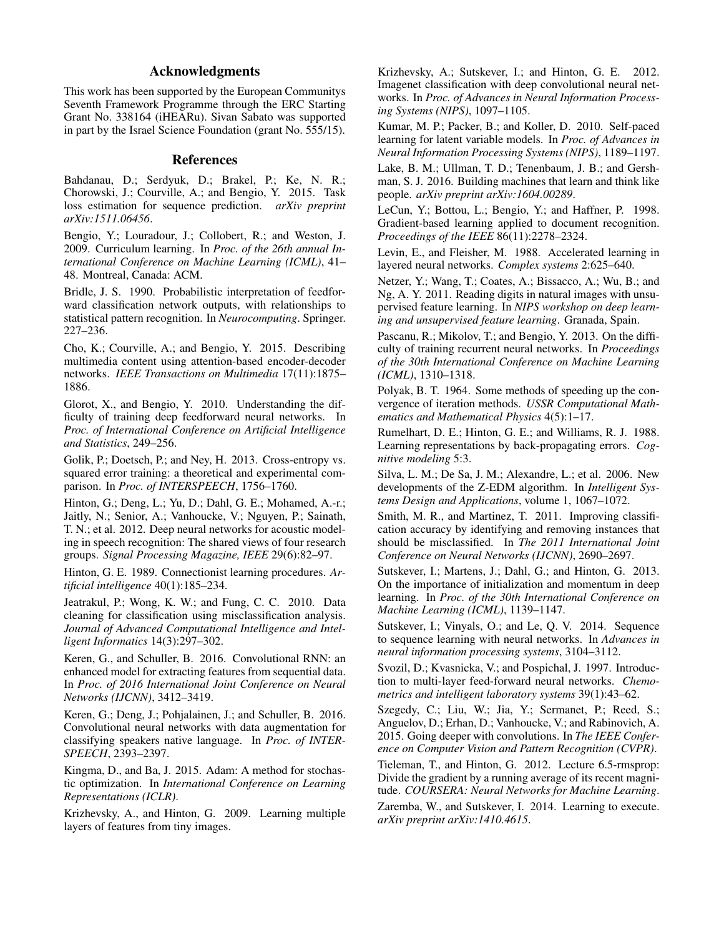## Acknowledgments

This work has been supported by the European Communitys Seventh Framework Programme through the ERC Starting Grant No. 338164 (iHEARu). Sivan Sabato was supported in part by the Israel Science Foundation (grant No. 555/15).

### References

Bahdanau, D.; Serdyuk, D.; Brakel, P.; Ke, N. R.; Chorowski, J.; Courville, A.; and Bengio, Y. 2015. Task loss estimation for sequence prediction. *arXiv preprint arXiv:1511.06456*.

Bengio, Y.; Louradour, J.; Collobert, R.; and Weston, J. 2009. Curriculum learning. In *Proc. of the 26th annual International Conference on Machine Learning (ICML)*, 41– 48. Montreal, Canada: ACM.

Bridle, J. S. 1990. Probabilistic interpretation of feedforward classification network outputs, with relationships to statistical pattern recognition. In *Neurocomputing*. Springer. 227–236.

Cho, K.; Courville, A.; and Bengio, Y. 2015. Describing multimedia content using attention-based encoder-decoder networks. *IEEE Transactions on Multimedia* 17(11):1875– 1886.

Glorot, X., and Bengio, Y. 2010. Understanding the difficulty of training deep feedforward neural networks. In *Proc. of International Conference on Artificial Intelligence and Statistics*, 249–256.

Golik, P.; Doetsch, P.; and Ney, H. 2013. Cross-entropy vs. squared error training: a theoretical and experimental comparison. In *Proc. of INTERSPEECH*, 1756–1760.

Hinton, G.; Deng, L.; Yu, D.; Dahl, G. E.; Mohamed, A.-r.; Jaitly, N.; Senior, A.; Vanhoucke, V.; Nguyen, P.; Sainath, T. N.; et al. 2012. Deep neural networks for acoustic modeling in speech recognition: The shared views of four research groups. *Signal Processing Magazine, IEEE* 29(6):82–97.

Hinton, G. E. 1989. Connectionist learning procedures. *Artificial intelligence* 40(1):185–234.

Jeatrakul, P.; Wong, K. W.; and Fung, C. C. 2010. Data cleaning for classification using misclassification analysis. *Journal of Advanced Computational Intelligence and Intelligent Informatics* 14(3):297–302.

Keren, G., and Schuller, B. 2016. Convolutional RNN: an enhanced model for extracting features from sequential data. In *Proc. of 2016 International Joint Conference on Neural Networks (IJCNN)*, 3412–3419.

Keren, G.; Deng, J.; Pohjalainen, J.; and Schuller, B. 2016. Convolutional neural networks with data augmentation for classifying speakers native language. In *Proc. of INTER-SPEECH*, 2393–2397.

Kingma, D., and Ba, J. 2015. Adam: A method for stochastic optimization. In *International Conference on Learning Representations (ICLR)*.

Krizhevsky, A., and Hinton, G. 2009. Learning multiple layers of features from tiny images.

Krizhevsky, A.; Sutskever, I.; and Hinton, G. E. 2012. Imagenet classification with deep convolutional neural networks. In *Proc. of Advances in Neural Information Processing Systems (NIPS)*, 1097–1105.

Kumar, M. P.; Packer, B.; and Koller, D. 2010. Self-paced learning for latent variable models. In *Proc. of Advances in Neural Information Processing Systems (NIPS)*, 1189–1197.

Lake, B. M.; Ullman, T. D.; Tenenbaum, J. B.; and Gershman, S. J. 2016. Building machines that learn and think like people. *arXiv preprint arXiv:1604.00289*.

LeCun, Y.; Bottou, L.; Bengio, Y.; and Haffner, P. 1998. Gradient-based learning applied to document recognition. *Proceedings of the IEEE* 86(11):2278–2324.

Levin, E., and Fleisher, M. 1988. Accelerated learning in layered neural networks. *Complex systems* 2:625–640.

Netzer, Y.; Wang, T.; Coates, A.; Bissacco, A.; Wu, B.; and Ng, A. Y. 2011. Reading digits in natural images with unsupervised feature learning. In *NIPS workshop on deep learning and unsupervised feature learning*. Granada, Spain.

Pascanu, R.; Mikolov, T.; and Bengio, Y. 2013. On the difficulty of training recurrent neural networks. In *Proceedings of the 30th International Conference on Machine Learning (ICML)*, 1310–1318.

Polyak, B. T. 1964. Some methods of speeding up the convergence of iteration methods. *USSR Computational Mathematics and Mathematical Physics* 4(5):1–17.

Rumelhart, D. E.; Hinton, G. E.; and Williams, R. J. 1988. Learning representations by back-propagating errors. *Cognitive modeling* 5:3.

Silva, L. M.; De Sa, J. M.; Alexandre, L.; et al. 2006. New developments of the Z-EDM algorithm. In *Intelligent Systems Design and Applications*, volume 1, 1067–1072.

Smith, M. R., and Martinez, T. 2011. Improving classification accuracy by identifying and removing instances that should be misclassified. In *The 2011 International Joint Conference on Neural Networks (IJCNN)*, 2690–2697.

Sutskever, I.; Martens, J.; Dahl, G.; and Hinton, G. 2013. On the importance of initialization and momentum in deep learning. In *Proc. of the 30th International Conference on Machine Learning (ICML)*, 1139–1147.

Sutskever, I.; Vinyals, O.; and Le, Q. V. 2014. Sequence to sequence learning with neural networks. In *Advances in neural information processing systems*, 3104–3112.

Svozil, D.; Kvasnicka, V.; and Pospichal, J. 1997. Introduction to multi-layer feed-forward neural networks. *Chemometrics and intelligent laboratory systems* 39(1):43–62.

Szegedy, C.; Liu, W.; Jia, Y.; Sermanet, P.; Reed, S.; Anguelov, D.; Erhan, D.; Vanhoucke, V.; and Rabinovich, A. 2015. Going deeper with convolutions. In *The IEEE Conference on Computer Vision and Pattern Recognition (CVPR)*.

Tieleman, T., and Hinton, G. 2012. Lecture 6.5-rmsprop: Divide the gradient by a running average of its recent magnitude. *COURSERA: Neural Networks for Machine Learning*.

Zaremba, W., and Sutskever, I. 2014. Learning to execute. *arXiv preprint arXiv:1410.4615*.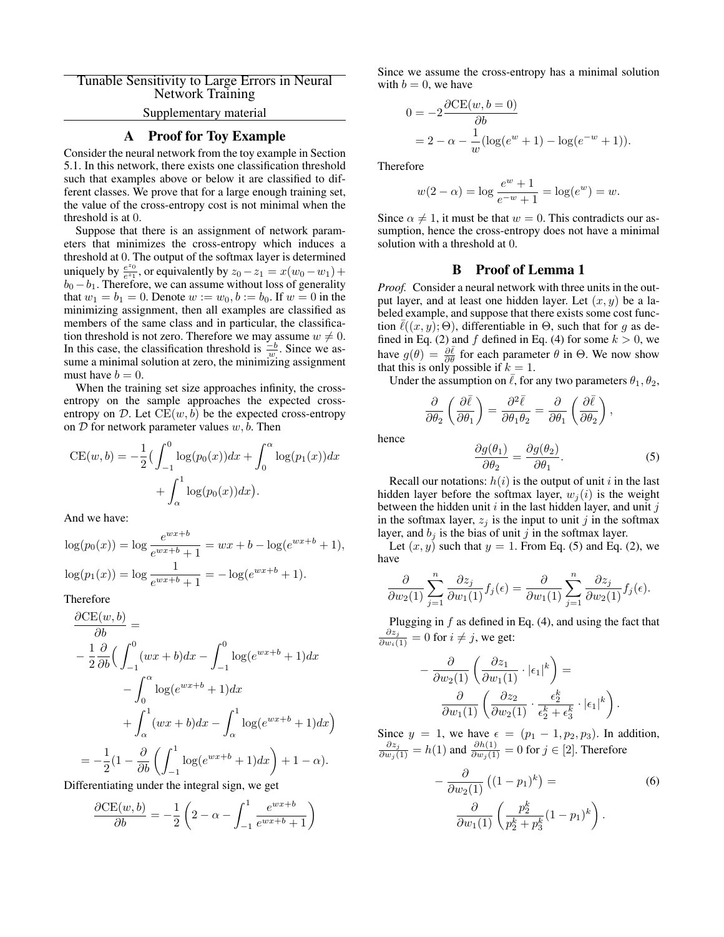# Tunable Sensitivity to Large Errors in Neural Network Training

# Supplementary material

# A Proof for Toy Example

Consider the neural network from the toy example in Section 5.1. In this network, there exists one classification threshold such that examples above or below it are classified to different classes. We prove that for a large enough training set, the value of the cross-entropy cost is not minimal when the threshold is at 0.

Suppose that there is an assignment of network parameters that minimizes the cross-entropy which induces a threshold at 0. The output of the softmax layer is determined uniquely by  $\frac{e^{z_0}}{e^{z_1}}$  $e^{20}$ <sub>e<sup>z</sup>1</sub></sup>, or equivalently by  $z_0 - z_1 = x(w_0 - w_1) + y_0$  $b_0 - b_1$ . Therefore, we can assume without loss of generality that  $w_1 = b_1 = 0$ . Denote  $w := w_0, b := b_0$ . If  $w = 0$  in the minimizing assignment, then all examples are classified as members of the same class and in particular, the classification threshold is not zero. Therefore we may assume  $w \neq 0$ . In this case, the classification threshold is  $\frac{-b}{w}$ . Since we assume a minimal solution at zero, the minimizing assignment must have  $b = 0$ .

When the training set size approaches infinity, the crossentropy on the sample approaches the expected crossentropy on D. Let  $CE(w, b)$  be the expected cross-entropy on  $D$  for network parameter values  $w, b$ . Then

$$
CE(w, b) = -\frac{1}{2} \left( \int_{-1}^{0} \log(p_0(x)) dx + \int_{0}^{\alpha} \log(p_1(x)) dx + \int_{\alpha}^{1} \log(p_0(x)) dx \right).
$$

And we have:

$$
log(p_0(x)) = log \frac{e^{wx+b}}{e^{wx+b} + 1} = wx + b - log(e^{wx+b} + 1),
$$
  

$$
log(p_1(x)) = log \frac{1}{e^{wx+b} + 1} = -log(e^{wx+b} + 1).
$$

Therefore

$$
\frac{\partial CE(w, b)}{\partial b} =
$$
\n
$$
-\frac{1}{2} \frac{\partial}{\partial b} \Big( \int_{-1}^{0} (wx + b) dx - \int_{-1}^{0} \log(e^{wx + b} + 1) dx
$$
\n
$$
-\int_{0}^{\alpha} \log(e^{wx + b} + 1) dx
$$
\n
$$
+\int_{\alpha}^{1} (wx + b) dx - \int_{\alpha}^{1} \log(e^{wx + b} + 1) dx \Big)
$$
\n
$$
= -\frac{1}{2} (1 - \frac{\partial}{\partial b} \Big( \int_{-1}^{1} \log(e^{wx + b} + 1) dx \Big) + 1 - \alpha).
$$

Differentiating under the integral sign, we get

$$
\frac{\partial \text{CE}(w, b)}{\partial b} = -\frac{1}{2} \left( 2 - \alpha - \int_{-1}^{1} \frac{e^{wx + b}}{e^{wx + b} + 1} \right)
$$

Since we assume the cross-entropy has a minimal solution with  $b = 0$ , we have

$$
0 = -2 \frac{\partial \text{CE}(w, b=0)}{\partial b}
$$
  
= 2 - \alpha - \frac{1}{w} (\log(e^w + 1) - \log(e^{-w} + 1)).

Therefore

$$
w(2 - \alpha) = \log \frac{e^w + 1}{e^{-w} + 1} = \log(e^w) = w.
$$

Since  $\alpha \neq 1$ , it must be that  $w = 0$ . This contradicts our assumption, hence the cross-entropy does not have a minimal solution with a threshold at 0.

### B Proof of Lemma 1

*Proof.* Consider a neural network with three units in the output layer, and at least one hidden layer. Let  $(x, y)$  be a labeled example, and suppose that there exists some cost function  $\ell((x, y); \Theta)$ , differentiable in  $\Theta$ , such that for g as defined in Eq. (2) and f defined in Eq. (4) for some  $k > 0$ , we have  $g(\theta) = \frac{\partial \bar{\ell}}{\partial \theta}$  for each parameter  $\theta$  in  $\Theta$ . We now show that this is only possible if  $k = 1$ .

Under the assumption on  $\bar{\ell}$ , for any two parameters  $\theta_1, \theta_2$ ,

$$
\frac{\partial}{\partial \theta_2} \left( \frac{\partial \bar{\ell}}{\partial \theta_1} \right) = \frac{\partial^2 \bar{\ell}}{\partial \theta_1 \theta_2} = \frac{\partial}{\partial \theta_1} \left( \frac{\partial \bar{\ell}}{\partial \theta_2} \right),
$$

hence

$$
\frac{\partial g(\theta_1)}{\partial \theta_2} = \frac{\partial g(\theta_2)}{\partial \theta_1}.
$$
 (5)

Recall our notations:  $h(i)$  is the output of unit i in the last hidden layer before the softmax layer,  $w_j(i)$  is the weight between the hidden unit  $i$  in the last hidden layer, and unit  $j$ in the softmax layer,  $z_i$  is the input to unit j in the softmax layer, and  $b_j$  is the bias of unit j in the softmax layer.

Let  $(x, y)$  such that  $y = 1$ . From Eq. (5) and Eq. (2), we have

$$
\frac{\partial}{\partial w_2(1)} \sum_{j=1}^n \frac{\partial z_j}{\partial w_1(1)} f_j(\epsilon) = \frac{\partial}{\partial w_1(1)} \sum_{j=1}^n \frac{\partial z_j}{\partial w_2(1)} f_j(\epsilon).
$$

Plugging in  $f$  as defined in Eq. (4), and using the fact that  $\frac{\partial z_j}{\partial w_i(1)} = 0$  for  $i \neq j$ , we get:

$$
-\frac{\partial}{\partial w_2(1)} \left( \frac{\partial z_1}{\partial w_1(1)} \cdot |\epsilon_1|^k \right) = \frac{\partial}{\partial w_1(1)} \left( \frac{\partial z_2}{\partial w_2(1)} \cdot \frac{\epsilon_2^k}{\epsilon_2^k + \epsilon_3^k} \cdot |\epsilon_1|^k \right).
$$

Since  $y = 1$ , we have  $\epsilon = (p_1 - 1, p_2, p_3)$ . In addition,  $\frac{\partial z_j}{\partial w_j(1)} = h(1)$  and  $\frac{\partial h(1)}{\partial w_j(1)} = 0$  for  $j \in [2]$ . Therefore

$$
-\frac{\partial}{\partial w_2(1)}\left((1-p_1)^k\right) =
$$
\n
$$
\frac{\partial}{\partial w_1(1)}\left(\frac{p_2^k}{p_2^k + p_3^k}(1-p_1)^k\right).
$$
\n(6)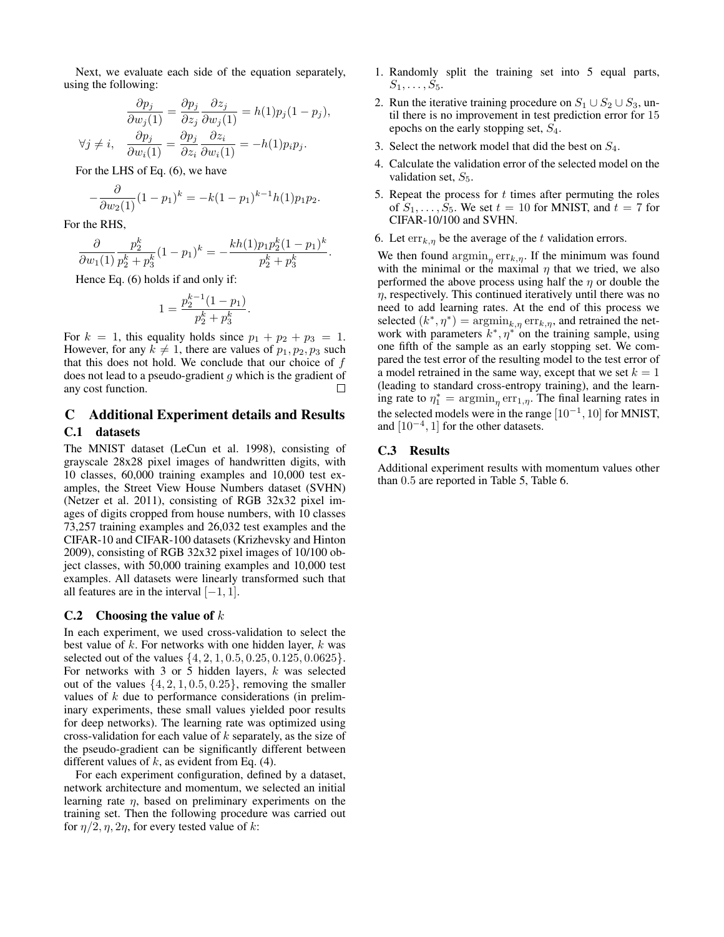Next, we evaluate each side of the equation separately, using the following:

$$
\frac{\partial p_j}{\partial w_j(1)} = \frac{\partial p_j}{\partial z_j} \frac{\partial z_j}{\partial w_j(1)} = h(1)p_j(1 - p_j),
$$
  

$$
\forall j \neq i, \quad \frac{\partial p_j}{\partial w_i(1)} = \frac{\partial p_j}{\partial z_i} \frac{\partial z_i}{\partial w_i(1)} = -h(1)p_i p_j.
$$

For the LHS of Eq. (6), we have

$$
-\frac{\partial}{\partial w_2(1)}(1-p_1)^k = -k(1-p_1)^{k-1}h(1)p_1p_2.
$$

For the RHS,

$$
\frac{\partial}{\partial w_1(1)} \frac{p_2^k}{p_2^k + p_3^k} (1 - p_1)^k = -\frac{k h(1) p_1 p_2^k (1 - p_1)^k}{p_2^k + p_3^k}
$$

Hence Eq. (6) holds if and only if:

$$
1 = \frac{p_2^{k-1}(1-p_1)}{p_2^k + p_3^k}.
$$

For  $k = 1$ , this equality holds since  $p_1 + p_2 + p_3 = 1$ . However, for any  $k \neq 1$ , there are values of  $p_1, p_2, p_3$  such that this does not hold. We conclude that our choice of  $f$ does not lead to a pseudo-gradient  $g$  which is the gradient of any cost function. П

## C Additional Experiment details and Results

### C.1 datasets

The MNIST dataset (LeCun et al. 1998), consisting of grayscale 28x28 pixel images of handwritten digits, with 10 classes, 60,000 training examples and 10,000 test examples, the Street View House Numbers dataset (SVHN) (Netzer et al. 2011), consisting of RGB 32x32 pixel images of digits cropped from house numbers, with 10 classes 73,257 training examples and 26,032 test examples and the CIFAR-10 and CIFAR-100 datasets (Krizhevsky and Hinton 2009), consisting of RGB 32x32 pixel images of 10/100 object classes, with 50,000 training examples and 10,000 test examples. All datasets were linearly transformed such that all features are in the interval  $[-1, 1]$ .

#### C.2 Choosing the value of  $k$

In each experiment, we used cross-validation to select the best value of  $k$ . For networks with one hidden layer,  $k$  was selected out of the values  $\{4, 2, 1, 0.5, 0.25, 0.125, 0.0625\}.$ For networks with 3 or 5 hidden layers,  $k$  was selected out of the values  $\{4, 2, 1, 0.5, 0.25\}$ , removing the smaller values of  $k$  due to performance considerations (in preliminary experiments, these small values yielded poor results for deep networks). The learning rate was optimized using cross-validation for each value of  $k$  separately, as the size of the pseudo-gradient can be significantly different between different values of  $k$ , as evident from Eq. (4).

For each experiment configuration, defined by a dataset, network architecture and momentum, we selected an initial learning rate  $\eta$ , based on preliminary experiments on the training set. Then the following procedure was carried out for  $\eta/2$ ,  $\eta$ ,  $2\eta$ , for every tested value of k:

- 1. Randomly split the training set into 5 equal parts,  $S_1, \ldots, S_5$ .
- 2. Run the iterative training procedure on  $S_1 \cup S_2 \cup S_3$ , until there is no improvement in test prediction error for 15 epochs on the early stopping set,  $S_4$ .
- 3. Select the network model that did the best on  $S_4$ .
- 4. Calculate the validation error of the selected model on the validation set,  $S_5$ .
- 5. Repeat the process for  $t$  times after permuting the roles of  $S_1, \ldots, S_5$ . We set  $t = 10$  for MNIST, and  $t = 7$  for CIFAR-10/100 and SVHN.
- 6. Let  $\text{err}_{k,\eta}$  be the average of the t validation errors.

We then found  $\operatorname{argmin}_{\eta} \operatorname{err}_{k,\eta}$ . If the minimum was found with the minimal or the maximal  $\eta$  that we tried, we also performed the above process using half the  $\eta$  or double the  $\eta$ , respectively. This continued iteratively until there was no need to add learning rates. At the end of this process we selected  $(k^*, \eta^*) = \operatorname{argmin}_{k,\eta} \operatorname{err}_{k,\eta}$ , and retrained the network with parameters  $k^*, \eta^{*,'}$  on the training sample, using one fifth of the sample as an early stopping set. We compared the test error of the resulting model to the test error of a model retrained in the same way, except that we set  $k = 1$ (leading to standard cross-entropy training), and the learning rate to  $\eta_1^* = \operatorname{argmin}_{\eta} \operatorname{err}_{1,\eta}$ . The final learning rates in the selected models were in the range  $[10^{-1}, 10]$  for MNIST, and  $[10^{-4}, 1]$  for the other datasets.

#### C.3 Results

.

Additional experiment results with momentum values other than 0.5 are reported in Table 5, Table 6.